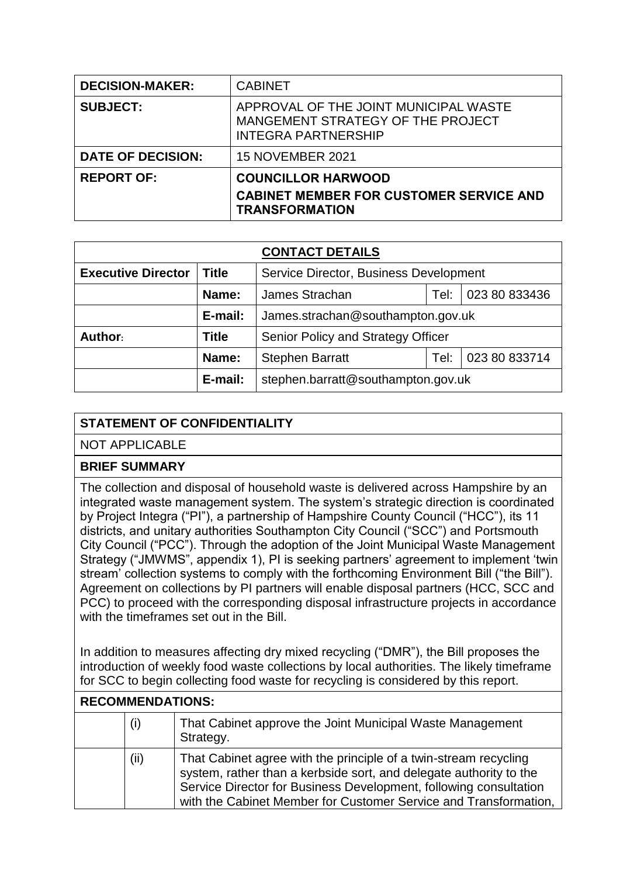| <b>DECISION-MAKER:</b>   | <b>CABINET</b>                                                                                           |  |
|--------------------------|----------------------------------------------------------------------------------------------------------|--|
| <b>SUBJECT:</b>          | APPROVAL OF THE JOINT MUNICIPAL WASTE<br>MANGEMENT STRATEGY OF THE PROJECT<br><b>INTEGRA PARTNERSHIP</b> |  |
| <b>DATE OF DECISION:</b> | <b>15 NOVEMBER 2021</b>                                                                                  |  |
| <b>REPORT OF:</b>        | <b>COUNCILLOR HARWOOD</b>                                                                                |  |
|                          | <b>CABINET MEMBER FOR CUSTOMER SERVICE AND</b><br><b>TRANSFORMATION</b>                                  |  |

| <b>CONTACT DETAILS</b>    |              |                                         |      |               |  |
|---------------------------|--------------|-----------------------------------------|------|---------------|--|
| <b>Executive Director</b> | <b>Title</b> | Service Director, Business Development  |      |               |  |
|                           | Name:        | 023 80 833436<br>James Strachan<br>Tel: |      |               |  |
|                           | E-mail:      | James.strachan@southampton.gov.uk       |      |               |  |
| Author:                   | <b>Title</b> | Senior Policy and Strategy Officer      |      |               |  |
|                           | Name:        | <b>Stephen Barratt</b>                  | Tel: | 023 80 833714 |  |
|                           | E-mail:      | stephen.barratt@southampton.gov.uk      |      |               |  |

## **STATEMENT OF CONFIDENTIALITY**

NOT APPLICABLE

## **BRIEF SUMMARY**

The collection and disposal of household waste is delivered across Hampshire by an integrated waste management system. The system's strategic direction is coordinated by Project Integra ("PI"), a partnership of Hampshire County Council ("HCC"), its 11 districts, and unitary authorities Southampton City Council ("SCC") and Portsmouth City Council ("PCC"). Through the adoption of the Joint Municipal Waste Management Strategy ("JMWMS", appendix 1), PI is seeking partners' agreement to implement 'twin stream' collection systems to comply with the forthcoming Environment Bill ("the Bill"). Agreement on collections by PI partners will enable disposal partners (HCC, SCC and PCC) to proceed with the corresponding disposal infrastructure projects in accordance with the timeframes set out in the Bill.

In addition to measures affecting dry mixed recycling ("DMR"), the Bill proposes the introduction of weekly food waste collections by local authorities. The likely timeframe for SCC to begin collecting food waste for recycling is considered by this report.

| <b>RECOMMENDATIONS:</b> |     |                                                                                                                                                                                                                                                                                 |  |
|-------------------------|-----|---------------------------------------------------------------------------------------------------------------------------------------------------------------------------------------------------------------------------------------------------------------------------------|--|
|                         | (i) | That Cabinet approve the Joint Municipal Waste Management<br>Strategy.                                                                                                                                                                                                          |  |
|                         | (i) | That Cabinet agree with the principle of a twin-stream recycling<br>system, rather than a kerbside sort, and delegate authority to the<br>Service Director for Business Development, following consultation<br>with the Cabinet Member for Customer Service and Transformation, |  |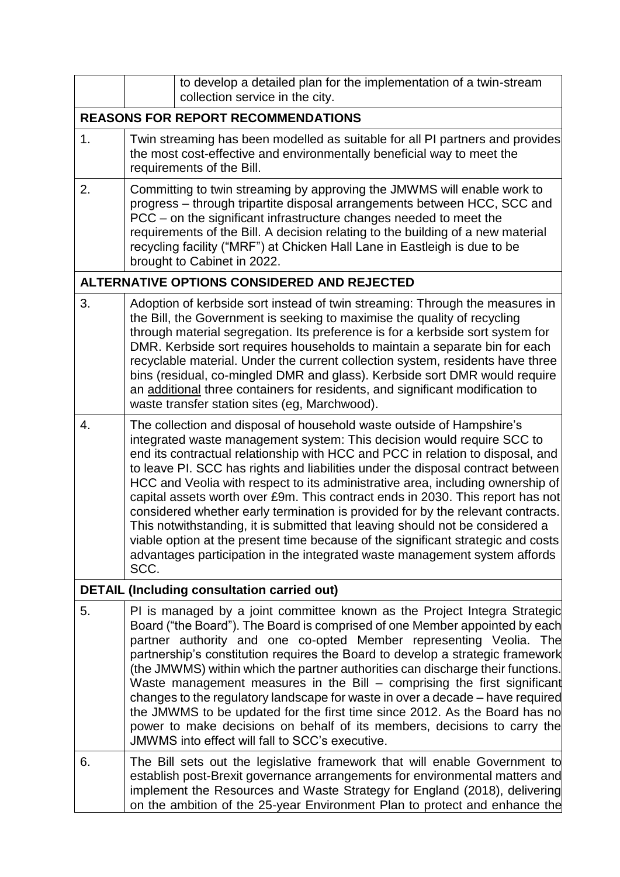|    | to develop a detailed plan for the implementation of a twin-stream<br>collection service in the city.                                                                                                                                                                                                                                                                                                                                                                                                                                                                                                                                                                                                                                                                                                                                  |  |  |  |  |
|----|----------------------------------------------------------------------------------------------------------------------------------------------------------------------------------------------------------------------------------------------------------------------------------------------------------------------------------------------------------------------------------------------------------------------------------------------------------------------------------------------------------------------------------------------------------------------------------------------------------------------------------------------------------------------------------------------------------------------------------------------------------------------------------------------------------------------------------------|--|--|--|--|
|    | <b>REASONS FOR REPORT RECOMMENDATIONS</b>                                                                                                                                                                                                                                                                                                                                                                                                                                                                                                                                                                                                                                                                                                                                                                                              |  |  |  |  |
| 1. | Twin streaming has been modelled as suitable for all PI partners and provides<br>the most cost-effective and environmentally beneficial way to meet the<br>requirements of the Bill.                                                                                                                                                                                                                                                                                                                                                                                                                                                                                                                                                                                                                                                   |  |  |  |  |
| 2. | Committing to twin streaming by approving the JMWMS will enable work to<br>progress - through tripartite disposal arrangements between HCC, SCC and<br>PCC – on the significant infrastructure changes needed to meet the<br>requirements of the Bill. A decision relating to the building of a new material<br>recycling facility ("MRF") at Chicken Hall Lane in Eastleigh is due to be<br>brought to Cabinet in 2022.                                                                                                                                                                                                                                                                                                                                                                                                               |  |  |  |  |
|    | ALTERNATIVE OPTIONS CONSIDERED AND REJECTED                                                                                                                                                                                                                                                                                                                                                                                                                                                                                                                                                                                                                                                                                                                                                                                            |  |  |  |  |
| 3. | Adoption of kerbside sort instead of twin streaming: Through the measures in<br>the Bill, the Government is seeking to maximise the quality of recycling<br>through material segregation. Its preference is for a kerbside sort system for<br>DMR. Kerbside sort requires households to maintain a separate bin for each<br>recyclable material. Under the current collection system, residents have three<br>bins (residual, co-mingled DMR and glass). Kerbside sort DMR would require<br>an additional three containers for residents, and significant modification to<br>waste transfer station sites (eg, Marchwood).                                                                                                                                                                                                             |  |  |  |  |
| 4. | The collection and disposal of household waste outside of Hampshire's<br>integrated waste management system: This decision would require SCC to<br>end its contractual relationship with HCC and PCC in relation to disposal, and<br>to leave PI. SCC has rights and liabilities under the disposal contract between<br>HCC and Veolia with respect to its administrative area, including ownership of<br>capital assets worth over £9m. This contract ends in 2030. This report has not<br>considered whether early termination is provided for by the relevant contracts.<br>This notwithstanding, it is submitted that leaving should not be considered a<br>viable option at the present time because of the significant strategic and costs<br>advantages participation in the integrated waste management system affords<br>SCC. |  |  |  |  |
|    | <b>DETAIL (Including consultation carried out)</b>                                                                                                                                                                                                                                                                                                                                                                                                                                                                                                                                                                                                                                                                                                                                                                                     |  |  |  |  |
| 5. | PI is managed by a joint committee known as the Project Integra Strategic<br>Board ("the Board"). The Board is comprised of one Member appointed by each<br>partner authority and one co-opted Member representing Veolia. The<br>partnership's constitution requires the Board to develop a strategic framework<br>(the JMWMS) within which the partner authorities can discharge their functions.<br>Waste management measures in the Bill - comprising the first significant<br>changes to the regulatory landscape for waste in over a decade - have required<br>the JMWMS to be updated for the first time since 2012. As the Board has no<br>power to make decisions on behalf of its members, decisions to carry the<br>JMWMS into effect will fall to SCC's executive.                                                         |  |  |  |  |
| 6. | The Bill sets out the legislative framework that will enable Government to<br>establish post-Brexit governance arrangements for environmental matters and<br>implement the Resources and Waste Strategy for England (2018), delivering<br>on the ambition of the 25-year Environment Plan to protect and enhance the                                                                                                                                                                                                                                                                                                                                                                                                                                                                                                                   |  |  |  |  |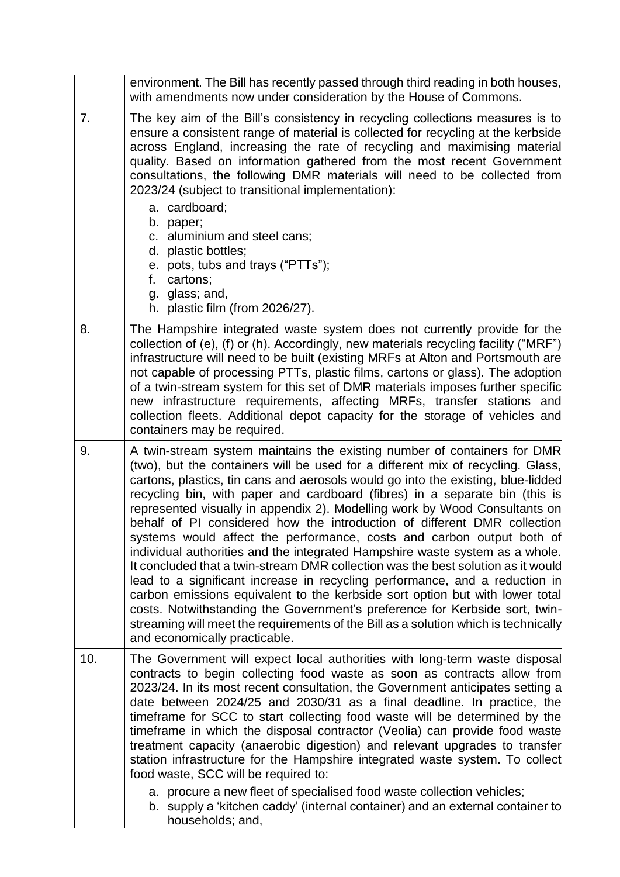|     | environment. The Bill has recently passed through third reading in both houses,<br>with amendments now under consideration by the House of Commons.                                                                                                                                                                                                                                                                                                                                                                                                                                                                                                                                                                                                                                                                                                                                                                                                                                                                                                                                                         |  |  |  |
|-----|-------------------------------------------------------------------------------------------------------------------------------------------------------------------------------------------------------------------------------------------------------------------------------------------------------------------------------------------------------------------------------------------------------------------------------------------------------------------------------------------------------------------------------------------------------------------------------------------------------------------------------------------------------------------------------------------------------------------------------------------------------------------------------------------------------------------------------------------------------------------------------------------------------------------------------------------------------------------------------------------------------------------------------------------------------------------------------------------------------------|--|--|--|
| 7.  | The key aim of the Bill's consistency in recycling collections measures is to<br>ensure a consistent range of material is collected for recycling at the kerbside<br>across England, increasing the rate of recycling and maximising material<br>quality. Based on information gathered from the most recent Government<br>consultations, the following DMR materials will need to be collected from<br>2023/24 (subject to transitional implementation):<br>a. cardboard;<br>b. paper;<br>c. aluminium and steel cans;<br>d. plastic bottles;<br>e. pots, tubs and trays ("PTTs");<br>f.<br>cartons;<br>g. glass; and,<br>h. plastic film (from 2026/27).                                                                                                                                                                                                                                                                                                                                                                                                                                                  |  |  |  |
| 8.  | The Hampshire integrated waste system does not currently provide for the<br>collection of (e), (f) or (h). Accordingly, new materials recycling facility ("MRF")<br>infrastructure will need to be built (existing MRFs at Alton and Portsmouth are<br>not capable of processing PTTs, plastic films, cartons or glass). The adoption<br>of a twin-stream system for this set of DMR materials imposes further specific<br>new infrastructure requirements, affecting MRFs, transfer stations and<br>collection fleets. Additional depot capacity for the storage of vehicles and<br>containers may be required.                                                                                                                                                                                                                                                                                                                                                                                                                                                                                            |  |  |  |
| 9.  | A twin-stream system maintains the existing number of containers for DMR<br>(two), but the containers will be used for a different mix of recycling. Glass,<br>cartons, plastics, tin cans and aerosols would go into the existing, blue-lidded<br>recycling bin, with paper and cardboard (fibres) in a separate bin (this is<br>represented visually in appendix 2). Modelling work by Wood Consultants on<br>behalf of PI considered how the introduction of different DMR collection<br>systems would affect the performance, costs and carbon output both of<br>individual authorities and the integrated Hampshire waste system as a whole.<br>It concluded that a twin-stream DMR collection was the best solution as it would<br>lead to a significant increase in recycling performance, and a reduction in<br>carbon emissions equivalent to the kerbside sort option but with lower total<br>costs. Notwithstanding the Government's preference for Kerbside sort, twin-<br>streaming will meet the requirements of the Bill as a solution which is technically<br>and economically practicable. |  |  |  |
| 10. | The Government will expect local authorities with long-term waste disposal<br>contracts to begin collecting food waste as soon as contracts allow from<br>2023/24. In its most recent consultation, the Government anticipates setting a<br>date between 2024/25 and 2030/31 as a final deadline. In practice, the<br>timeframe for SCC to start collecting food waste will be determined by the<br>timeframe in which the disposal contractor (Veolia) can provide food waste<br>treatment capacity (anaerobic digestion) and relevant upgrades to transfer<br>station infrastructure for the Hampshire integrated waste system. To collect<br>food waste, SCC will be required to:<br>a. procure a new fleet of specialised food waste collection vehicles;<br>b. supply a 'kitchen caddy' (internal container) and an external container to<br>households; and,                                                                                                                                                                                                                                          |  |  |  |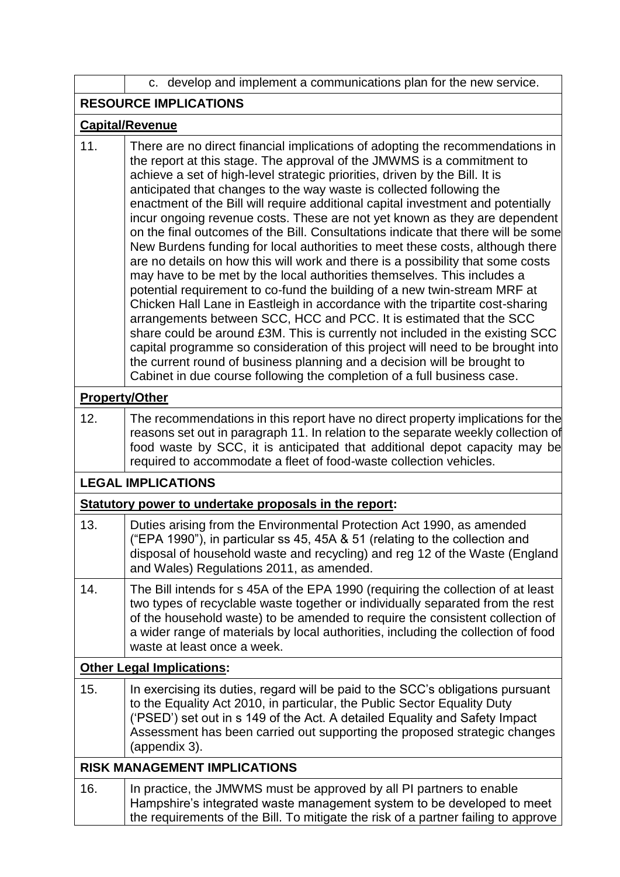|                              | c. develop and implement a communications plan for the new service.                                                                                                                                                                                                                                                                                                                                                                                                                                                                                                                                                                                                                                                                                                                                                                                                                                                                                                                                                                                                                                                                                                                                                                                                                                                                                                                  |  |  |  |
|------------------------------|--------------------------------------------------------------------------------------------------------------------------------------------------------------------------------------------------------------------------------------------------------------------------------------------------------------------------------------------------------------------------------------------------------------------------------------------------------------------------------------------------------------------------------------------------------------------------------------------------------------------------------------------------------------------------------------------------------------------------------------------------------------------------------------------------------------------------------------------------------------------------------------------------------------------------------------------------------------------------------------------------------------------------------------------------------------------------------------------------------------------------------------------------------------------------------------------------------------------------------------------------------------------------------------------------------------------------------------------------------------------------------------|--|--|--|
| <b>RESOURCE IMPLICATIONS</b> |                                                                                                                                                                                                                                                                                                                                                                                                                                                                                                                                                                                                                                                                                                                                                                                                                                                                                                                                                                                                                                                                                                                                                                                                                                                                                                                                                                                      |  |  |  |
| <b>Capital/Revenue</b>       |                                                                                                                                                                                                                                                                                                                                                                                                                                                                                                                                                                                                                                                                                                                                                                                                                                                                                                                                                                                                                                                                                                                                                                                                                                                                                                                                                                                      |  |  |  |
| 11.                          | There are no direct financial implications of adopting the recommendations in<br>the report at this stage. The approval of the JMWMS is a commitment to<br>achieve a set of high-level strategic priorities, driven by the Bill. It is<br>anticipated that changes to the way waste is collected following the<br>enactment of the Bill will require additional capital investment and potentially<br>incur ongoing revenue costs. These are not yet known as they are dependent<br>on the final outcomes of the Bill. Consultations indicate that there will be some<br>New Burdens funding for local authorities to meet these costs, although there<br>are no details on how this will work and there is a possibility that some costs<br>may have to be met by the local authorities themselves. This includes a<br>potential requirement to co-fund the building of a new twin-stream MRF at<br>Chicken Hall Lane in Eastleigh in accordance with the tripartite cost-sharing<br>arrangements between SCC, HCC and PCC. It is estimated that the SCC<br>share could be around £3M. This is currently not included in the existing SCC<br>capital programme so consideration of this project will need to be brought into<br>the current round of business planning and a decision will be brought to<br>Cabinet in due course following the completion of a full business case. |  |  |  |
|                              | <b>Property/Other</b>                                                                                                                                                                                                                                                                                                                                                                                                                                                                                                                                                                                                                                                                                                                                                                                                                                                                                                                                                                                                                                                                                                                                                                                                                                                                                                                                                                |  |  |  |
| 12.                          | The recommendations in this report have no direct property implications for the<br>reasons set out in paragraph 11. In relation to the separate weekly collection of<br>food waste by SCC, it is anticipated that additional depot capacity may be<br>required to accommodate a fleet of food-waste collection vehicles.                                                                                                                                                                                                                                                                                                                                                                                                                                                                                                                                                                                                                                                                                                                                                                                                                                                                                                                                                                                                                                                             |  |  |  |
|                              | <b>LEGAL IMPLICATIONS</b>                                                                                                                                                                                                                                                                                                                                                                                                                                                                                                                                                                                                                                                                                                                                                                                                                                                                                                                                                                                                                                                                                                                                                                                                                                                                                                                                                            |  |  |  |
|                              | Statutory power to undertake proposals in the report:                                                                                                                                                                                                                                                                                                                                                                                                                                                                                                                                                                                                                                                                                                                                                                                                                                                                                                                                                                                                                                                                                                                                                                                                                                                                                                                                |  |  |  |
| 13.                          | Duties arising from the Environmental Protection Act 1990, as amended<br>("EPA 1990"), in particular ss 45, 45A & 51 (relating to the collection and<br>disposal of household waste and recycling) and reg 12 of the Waste (England<br>and Wales) Regulations 2011, as amended.                                                                                                                                                                                                                                                                                                                                                                                                                                                                                                                                                                                                                                                                                                                                                                                                                                                                                                                                                                                                                                                                                                      |  |  |  |
| 14.                          | The Bill intends for s 45A of the EPA 1990 (requiring the collection of at least<br>two types of recyclable waste together or individually separated from the rest<br>of the household waste) to be amended to require the consistent collection of<br>a wider range of materials by local authorities, including the collection of food<br>waste at least once a week.                                                                                                                                                                                                                                                                                                                                                                                                                                                                                                                                                                                                                                                                                                                                                                                                                                                                                                                                                                                                              |  |  |  |
|                              | <b>Other Legal Implications:</b>                                                                                                                                                                                                                                                                                                                                                                                                                                                                                                                                                                                                                                                                                                                                                                                                                                                                                                                                                                                                                                                                                                                                                                                                                                                                                                                                                     |  |  |  |
| 15.                          | In exercising its duties, regard will be paid to the SCC's obligations pursuant<br>to the Equality Act 2010, in particular, the Public Sector Equality Duty<br>('PSED') set out in s 149 of the Act. A detailed Equality and Safety Impact<br>Assessment has been carried out supporting the proposed strategic changes<br>(appendix 3).                                                                                                                                                                                                                                                                                                                                                                                                                                                                                                                                                                                                                                                                                                                                                                                                                                                                                                                                                                                                                                             |  |  |  |
|                              | <b>RISK MANAGEMENT IMPLICATIONS</b>                                                                                                                                                                                                                                                                                                                                                                                                                                                                                                                                                                                                                                                                                                                                                                                                                                                                                                                                                                                                                                                                                                                                                                                                                                                                                                                                                  |  |  |  |
| 16.                          | In practice, the JMWMS must be approved by all PI partners to enable<br>Hampshire's integrated waste management system to be developed to meet<br>the requirements of the Bill. To mitigate the risk of a partner failing to approve                                                                                                                                                                                                                                                                                                                                                                                                                                                                                                                                                                                                                                                                                                                                                                                                                                                                                                                                                                                                                                                                                                                                                 |  |  |  |